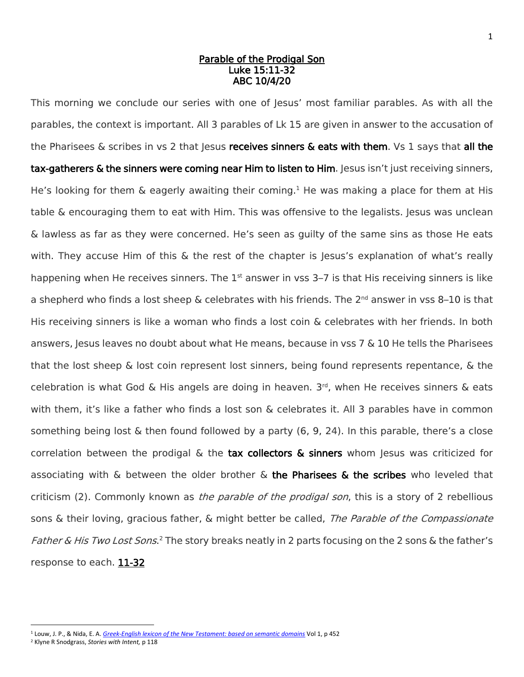## Parable of the Prodigal Son Luke 15:11-32 ABC 10/4/20

This morning we conclude our series with one of Jesus' most familiar parables. As with all the parables, the context is important. All 3 parables of Lk 15 are given in answer to the accusation of the Pharisees  $\&$  scribes in vs 2 that Jesus receives sinners  $\&$  eats with them. Vs 1 says that all the tax-gatherers & the sinners were coming near Him to listen to Him. Jesus isn't just receiving sinners, He's looking for them  $\&$  eagerly awaiting their coming.<sup>1</sup> He was making a place for them at His table & encouraging them to eat with Him. This was offensive to the legalists. Jesus was unclean & lawless as far as they were concerned. He's seen as guilty of the same sins as those He eats with. They accuse Him of this & the rest of the chapter is Jesus's explanation of what's really happening when He receives sinners. The  $1<sup>st</sup>$  answer in vss 3–7 is that His receiving sinners is like a shepherd who finds a lost sheep & celebrates with his friends. The 2<sup>nd</sup> answer in vss 8–10 is that His receiving sinners is like a woman who finds a lost coin & celebrates with her friends. In both answers, Jesus leaves no doubt about what He means, because in vss  $7 \& 10$  He tells the Pharisees that the lost sheep & lost coin represent lost sinners, being found represents repentance, & the celebration is what God & His angels are doing in heaven. 3 rd, when He receives sinners & eats with them, it's like a father who finds a lost son & celebrates it. All 3 parables have in common something being lost  $\&$  then found followed by a party (6, 9, 24). In this parable, there's a close correlation between the prodigal  $\&$  the tax collectors  $\&$  sinners whom Jesus was criticized for associating with  $\&$  between the older brother  $\&$  the Pharisees  $\&$  the scribes who leveled that criticism (2). Commonly known as the parable of the prodigal son, this is a story of 2 rebellious sons & their loving, gracious father, & might better be called, *The Parable of the Compassionate* Father & His Two Lost Sons.<sup>2</sup> The story breaks neatly in 2 parts focusing on the 2 sons & the father's response to each. 11-32

 $\overline{a}$ <sup>1</sup> Louw, J. P., & Nida, E. A. *[Greek-English lexicon of the New Testament: based on semantic domains](https://ref.ly/logosres/louwnida?ref=LouwNida.34.53&off=168&ctx=%CE%B1%CE%B9b%3b+%CF%80%CE%B1%CF%81%CE%B1%CE%B4%CE%B5%CC%81%CF%87%CE%BF%CE%BC%CE%B1%CE%B9b%3a+~to+accept+the+presen)* Vol 1, p 452

<sup>2</sup> Klyne R Snodgrass, *Stories with Intent,* p 118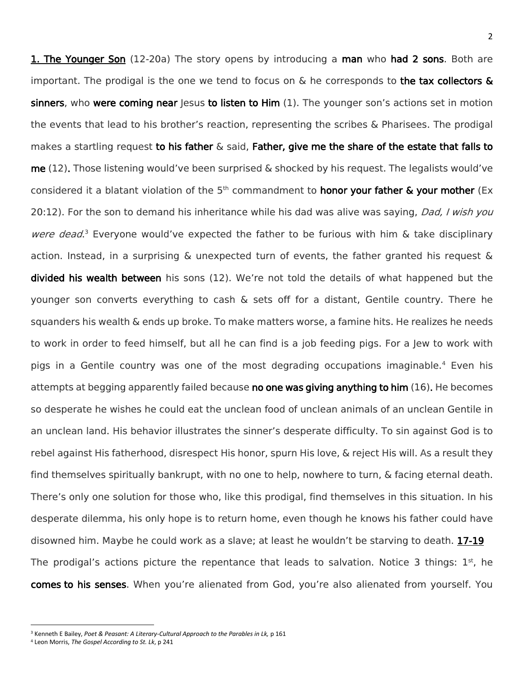**1. The Younger Son** (12-20a) The story opens by introducing a man who had 2 sons. Both are important. The prodigal is the one we tend to focus on  $\&$  he corresponds to the tax collectors  $\&$ sinners, who were coming near Jesus to listen to  $\lim(1)$ . The younger son's actions set in motion the events that lead to his brother's reaction, representing the scribes & Pharisees. The prodigal makes a startling request to his father  $\&$  said. Father, give me the share of the estate that falls to me  $(12)$ . Those listening would've been surprised & shocked by his request. The legalists would've considered it a blatant violation of the  $5<sup>th</sup>$  commandment to **honor your father & your mother** (Ex 20:12). For the son to demand his inheritance while his dad was alive was saying, *Dad, I wish you* were dead.<sup>3</sup> Everyone would've expected the father to be furious with him & take disciplinary action. Instead, in a surprising & unexpected turn of events, the father granted his request & divided his wealth between his sons (12). We're not told the details of what happened but the younger son converts everything to cash & sets off for a distant, Gentile country. There he squanders his wealth & ends up broke. To make matters worse, a famine hits. He realizes he needs to work in order to feed himself, but all he can find is a job feeding pigs. For a Jew to work with pigs in a Gentile country was one of the most degrading occupations imaginable.<sup>4</sup> Even his attempts at begging apparently failed because no one was giving anything to him (16). He becomes so desperate he wishes he could eat the unclean food of unclean animals of an unclean Gentile in an unclean land. His behavior illustrates the sinner's desperate difficulty. To sin against God is to rebel against His fatherhood, disrespect His honor, spurn His love, & reject His will. As a result they find themselves spiritually bankrupt, with no one to help, nowhere to turn, & facing eternal death. There's only one solution for those who, like this prodigal, find themselves in this situation. In his desperate dilemma, his only hope is to return home, even though he knows his father could have disowned him. Maybe he could work as a slave; at least he wouldn't be starving to death. 17-19 The prodigal's actions picture the repentance that leads to salvation. Notice 3 things:  $1<sup>st</sup>$ , he comes to his senses. When you're alienated from God, you're also alienated from yourself. You

 $\overline{a}$ 

<sup>3</sup> Kenneth E Bailey, *Poet & Peasant: A Literary-Cultural Approach to the Parables in Lk,* p 161

<sup>4</sup> Leon Morris, *The Gospel According to St. Lk*, p 241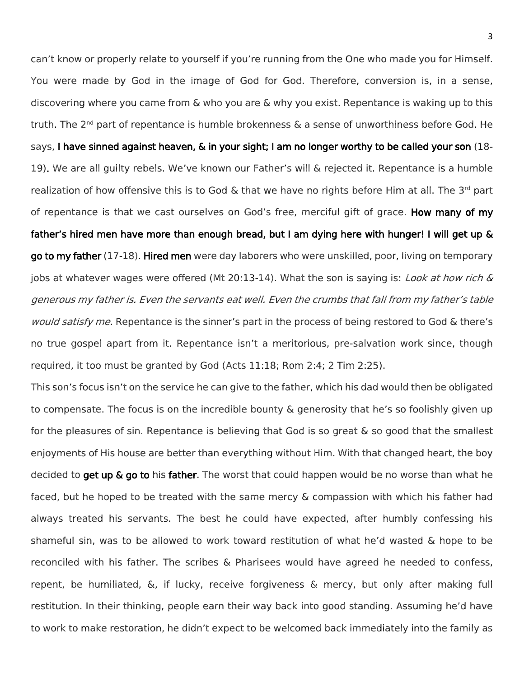can't know or properly relate to yourself if you're running from the One who made you for Himself. You were made by God in the image of God for God. Therefore, conversion is, in a sense, discovering where you came from & who you are & why you exist. Repentance is waking up to this truth. The 2<sup>nd</sup> part of repentance is humble brokenness & a sense of unworthiness before God. He says, I have sinned against heaven, & in your sight; I am no longer worthy to be called your son (18- 19). We are all guilty rebels. We've known our Father's will & rejected it. Repentance is a humble realization of how offensive this is to God & that we have no rights before Him at all. The 3<sup>rd</sup> part of repentance is that we cast ourselves on God's free, merciful gift of grace. How many of my father's hired men have more than enough bread, but I am dying here with hunger! I will get up & go to my father (17-18). Hired men were day laborers who were unskilled, poor, living on temporary jobs at whatever wages were offered (Mt 20:13-14). What the son is saying is: *Look at how rich &* generous my father is. Even the servants eat well. Even the crumbs that fall from my father's table would satisfy me. Repentance is the sinner's part in the process of being restored to God & there's no true gospel apart from it. Repentance isn't a meritorious, pre-salvation work since, though required, it too must be granted by God (Acts 11:18; Rom 2:4; 2 Tim 2:25).

This son's focus isn't on the service he can give to the father, which his dad would then be obligated to compensate. The focus is on the incredible bounty & generosity that he's so foolishly given up for the pleasures of sin. Repentance is believing that God is so great & so good that the smallest enjoyments of His house are better than everything without Him. With that changed heart, the boy decided to get up & go to his father. The worst that could happen would be no worse than what he faced, but he hoped to be treated with the same mercy & compassion with which his father had always treated his servants. The best he could have expected, after humbly confessing his shameful sin, was to be allowed to work toward restitution of what he'd wasted & hope to be reconciled with his father. The scribes & Pharisees would have agreed he needed to confess, repent, be humiliated, &, if lucky, receive forgiveness & mercy, but only after making full restitution. In their thinking, people earn their way back into good standing. Assuming he'd have to work to make restoration, he didn't expect to be welcomed back immediately into the family as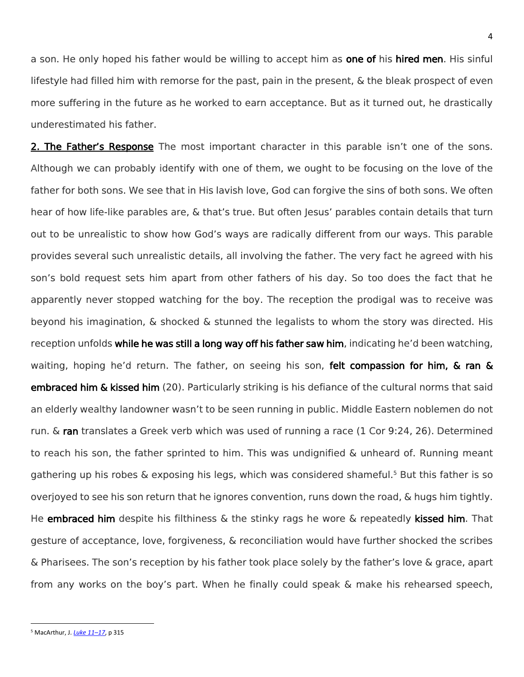a son. He only hoped his father would be willing to accept him as **one of** his hired men. His sinful lifestyle had filled him with remorse for the past, pain in the present, & the bleak prospect of even more suffering in the future as he worked to earn acceptance. But as it turned out, he drastically underestimated his father.

2. The Father's Response The most important character in this parable isn't one of the sons. Although we can probably identify with one of them, we ought to be focusing on the love of the father for both sons. We see that in His lavish love, God can forgive the sins of both sons. We often hear of how life-like parables are, & that's true. But often lesus' parables contain details that turn out to be unrealistic to show how God's ways are radically different from our ways. This parable provides several such unrealistic details, all involving the father. The very fact he agreed with his son's bold request sets him apart from other fathers of his day. So too does the fact that he apparently never stopped watching for the boy. The reception the prodigal was to receive was beyond his imagination, & shocked & stunned the legalists to whom the story was directed. His reception unfolds while he was still a long way off his father saw him, indicating he'd been watching, waiting, hoping he'd return. The father, on seeing his son, felt compassion for him, & ran & embraced him & kissed him (20). Particularly striking is his defiance of the cultural norms that said an elderly wealthy landowner wasn't to be seen running in public. Middle Eastern noblemen do not run. & ran translates a Greek verb which was used of running a race (1 Cor 9:24, 26). Determined to reach his son, the father sprinted to him. This was undignified & unheard of. Running meant gathering up his robes  $\&$  exposing his legs, which was considered shameful.<sup>5</sup> But this father is so overjoyed to see his son return that he ignores convention, runs down the road, & hugs him tightly. He embraced him despite his filthiness  $\&$  the stinky rags he wore  $\&$  repeatedly kissed him. That gesture of acceptance, love, forgiveness, & reconciliation would have further shocked the scribes & Pharisees. The son's reception by his father took place solely by the father's love & grace, apart from any works on the boy's part. When he finally could speak & make his rehearsed speech,

 $\overline{\phantom{a}}$ 

<sup>5</sup> MacArthur, J. *[Luke 11](https://ref.ly/logosres/mntcluke3?ref=Bible.Lk15.20-21&off=2502&ctx=an+to+meet+his+son.+~Middle+Eastern+noble)–17*, p 315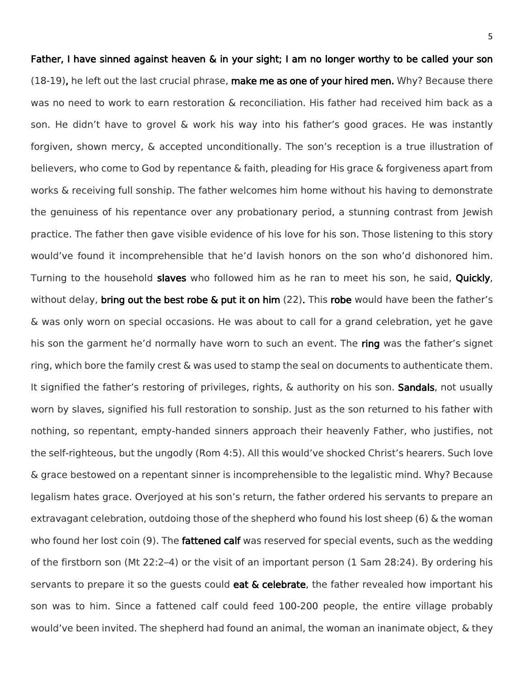Father, I have sinned against heaven & in your sight; I am no longer worthy to be called your son (18-19), he left out the last crucial phrase, make me as one of your hired men. Why? Because there was no need to work to earn restoration & reconciliation. His father had received him back as a son. He didn't have to grovel & work his way into his father's good graces. He was instantly forgiven, shown mercy, & accepted unconditionally. The son's reception is a true illustration of believers, who come to God by repentance & faith, pleading for His grace & forgiveness apart from works & receiving full sonship. The father welcomes him home without his having to demonstrate the genuiness of his repentance over any probationary period, a stunning contrast from Jewish practice. The father then gave visible evidence of his love for his son. Those listening to this story would've found it incomprehensible that he'd lavish honors on the son who'd dishonored him. Turning to the household slaves who followed him as he ran to meet his son, he said, Quickly, without delay, bring out the best robe  $\&$  put it on him (22). This robe would have been the father's & was only worn on special occasions. He was about to call for a grand celebration, yet he gave his son the garment he'd normally have worn to such an event. The ring was the father's signet ring, which bore the family crest & was used to stamp the seal on documents to authenticate them. It signified the father's restoring of privileges, rights, & authority on his son. Sandals, not usually worn by slaves, signified his full restoration to sonship. Just as the son returned to his father with nothing, so repentant, empty-handed sinners approach their heavenly Father, who justifies, not the self-righteous, but the ungodly (Rom 4:5). All this would've shocked Christ's hearers. Such love & grace bestowed on a repentant sinner is incomprehensible to the legalistic mind. Why? Because legalism hates grace. Overjoyed at his son's return, the father ordered his servants to prepare an extravagant celebration, outdoing those of the shepherd who found his lost sheep (6) & the woman who found her lost coin (9). The **fattened calf** was reserved for special events, such as the wedding of the firstborn son (Mt 22:2–4) or the visit of an important person (1 Sam 28:24). By ordering his servants to prepare it so the quests could **eat**  $\&$  **celebrate**, the father revealed how important his son was to him. Since a fattened calf could feed 100-200 people, the entire village probably would've been invited. The shepherd had found an animal, the woman an inanimate object, & they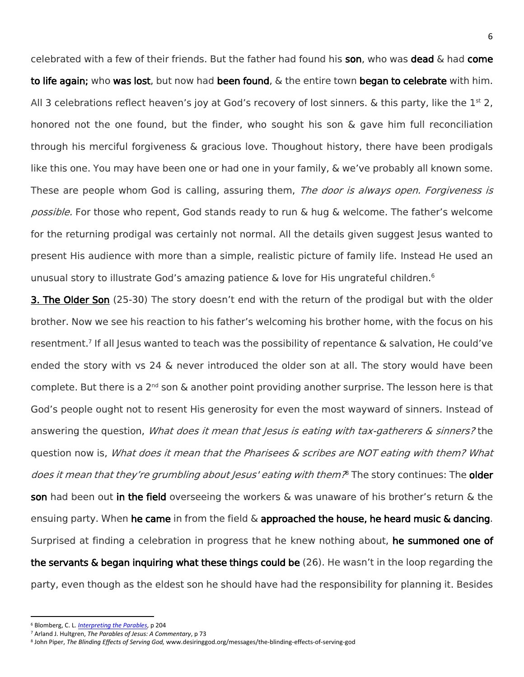celebrated with a few of their friends. But the father had found his son, who was dead  $\&$  had come to life again; who was lost, but now had been found, & the entire town began to celebrate with him. All 3 celebrations reflect heaven's joy at God's recovery of lost sinners. & this party, like the  $1<sup>st</sup>$  2, honored not the one found, but the finder, who sought his son & gave him full reconciliation through his merciful forgiveness & gracious love. Thoughout history, there have been prodigals like this one. You may have been one or had one in your family, & we've probably all known some. These are people whom God is calling, assuring them, *The door is always open. Forgiveness is* possible. For those who repent, God stands ready to run & hug & welcome. The father's welcome for the returning prodigal was certainly not normal. All the details given suggest Jesus wanted to present His audience with more than a simple, realistic picture of family life. Instead He used an unusual story to illustrate God's amazing patience & love for His ungrateful children.<sup>6</sup>

**3. The Older Son** (25-30) The story doesn't end with the return of the prodigal but with the older brother. Now we see his reaction to his father's welcoming his brother home, with the focus on his resentment.<sup>7</sup> If all Jesus wanted to teach was the possibility of repentance & salvation, He could've ended the story with vs 24 & never introduced the older son at all. The story would have been complete. But there is a 2<sup>nd</sup> son & another point providing another surprise. The lesson here is that God's people ought not to resent His generosity for even the most wayward of sinners. Instead of answering the question, *What does it mean that Jesus is eating with tax-gatherers & sinners?* the question now is, *What does it mean that the Pharisees & scribes are NOT eating with them? What* does it mean that they're grumbling about Jesus' eating with them? The story continues: The **older** son had been out in the field overseeing the workers & was unaware of his brother's return & the ensuing party. When he came in from the field  $\&$  approached the house, he heard music  $\&$  dancing. Surprised at finding a celebration in progress that he knew nothing about, he summoned one of the servants & began inquiring what these things could be (26). He wasn't in the loop regarding the party, even though as the eldest son he should have had the responsibility for planning it. Besides

 $\overline{a}$ 

<sup>6</sup> Blomberg, C. L. *[Interpreting the Parables](https://ref.ly/logosres/ntrprtngprbldtn?ref=Page.p+204&off=63&ctx=nerally+agreed+that+~the+father%E2%80%99s+later+w)*, p 204

<sup>7</sup> Arland J. Hultgren, *The Parables of Jesus: A Commentary*, p 73

<sup>8</sup> John Piper, *The Blinding Effects of Serving God,* www.desiringgod.org/messages/the-blinding-effects-of-serving-god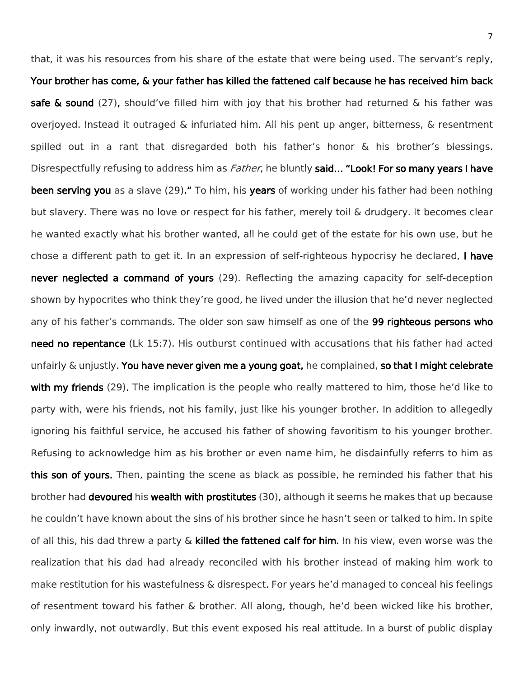that, it was his resources from his share of the estate that were being used. The servant's reply, Your brother has come, & your father has killed the fattened calf because he has received him back safe & sound (27), should've filled him with joy that his brother had returned & his father was overjoyed. Instead it outraged & infuriated him. All his pent up anger, bitterness, & resentment spilled out in a rant that disregarded both his father's honor & his brother's blessings. Disrespectfully refusing to address him as *Father*, he bluntly said... "Look! For so many years I have been serving you as a slave (29)." To him, his years of working under his father had been nothing but slavery. There was no love or respect for his father, merely toil & drudgery. It becomes clear he wanted exactly what his brother wanted, all he could get of the estate for his own use, but he chose a different path to get it. In an expression of self-righteous hypocrisy he declared, I have never neglected a command of yours (29). Reflecting the amazing capacity for self-deception shown by hypocrites who think they're good, he lived under the illusion that he'd never neglected any of his father's commands. The older son saw himself as one of the 99 righteous persons who need no repentance (Lk 15:7). His outburst continued with accusations that his father had acted unfairly  $\&$  unjustly. You have never given me a young goat, he complained, so that I might celebrate with my friends (29). The implication is the people who really mattered to him, those he'd like to party with, were his friends, not his family, just like his younger brother. In addition to allegedly ignoring his faithful service, he accused his father of showing favoritism to his younger brother. Refusing to acknowledge him as his brother or even name him, he disdainfully referrs to him as this son of yours. Then, painting the scene as black as possible, he reminded his father that his brother had **devoured** his **wealth with prostitutes** (30), although it seems he makes that up because he couldn't have known about the sins of his brother since he hasn't seen or talked to him. In spite of all this, his dad threw a party  $\&$  killed the fattened calf for him. In his view, even worse was the realization that his dad had already reconciled with his brother instead of making him work to make restitution for his wastefulness & disrespect. For years he'd managed to conceal his feelings of resentment toward his father & brother. All along, though, he'd been wicked like his brother, only inwardly, not outwardly. But this event exposed his real attitude. In a burst of public display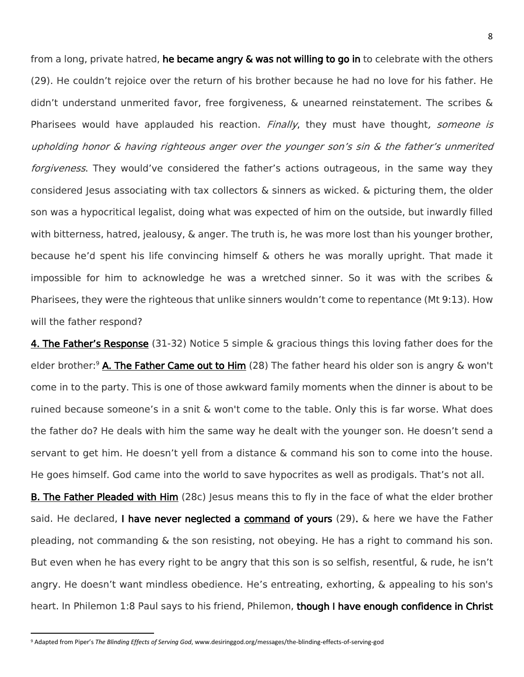from a long, private hatred, he became angry & was not willing to go in to celebrate with the others (29). He couldn't rejoice over the return of his brother because he had no love for his father. He didn't understand unmerited favor, free forgiveness, & unearned reinstatement. The scribes & Pharisees would have applauded his reaction. *Finally*, they must have thought, someone is upholding honor & having righteous anger over the younger son's sin & the father's unmerited forgiveness. They would've considered the father's actions outrageous, in the same way they considered Jesus associating with tax collectors  $\&$  sinners as wicked.  $\&$  picturing them, the older son was a hypocritical legalist, doing what was expected of him on the outside, but inwardly filled with bitterness, hatred, jealousy, & anger. The truth is, he was more lost than his younger brother, because he'd spent his life convincing himself & others he was morally upright. That made it impossible for him to acknowledge he was a wretched sinner. So it was with the scribes & Pharisees, they were the righteous that unlike sinners wouldn't come to repentance (Mt 9:13). How will the father respond?

4. The Father's Response (31-32) Notice 5 simple & gracious things this loving father does for the elder brother:<sup>9</sup> A. The Father Came out to Him (28) The father heard his older son is angry  $\&$  won't come in to the party. This is one of those awkward family moments when the dinner is about to be ruined because someone's in a snit & won't come to the table. Only this is far worse. What does the father do? He deals with him the same way he dealt with the younger son. He doesn't send a servant to get him. He doesn't yell from a distance & command his son to come into the house. He goes himself. God came into the world to save hypocrites as well as prodigals. That's not all.

**B. The Father Pleaded with Him** (28c) Jesus means this to fly in the face of what the elder brother said. He declared, I have never neglected a command of yours (29). & here we have the Father pleading, not commanding & the son resisting, not obeying. He has a right to command his son. But even when he has every right to be angry that this son is so selfish, resentful, & rude, he isn't angry. He doesn't want mindless obedience. He's entreating, exhorting, & appealing to his son's heart. In Philemon 1:8 Paul says to his friend, Philemon, though I have enough confidence in Christ

l

<sup>9</sup> Adapted from Piper's *The Blinding Effects of Serving God*, www.desiringgod.org/messages/the-blinding-effects-of-serving-god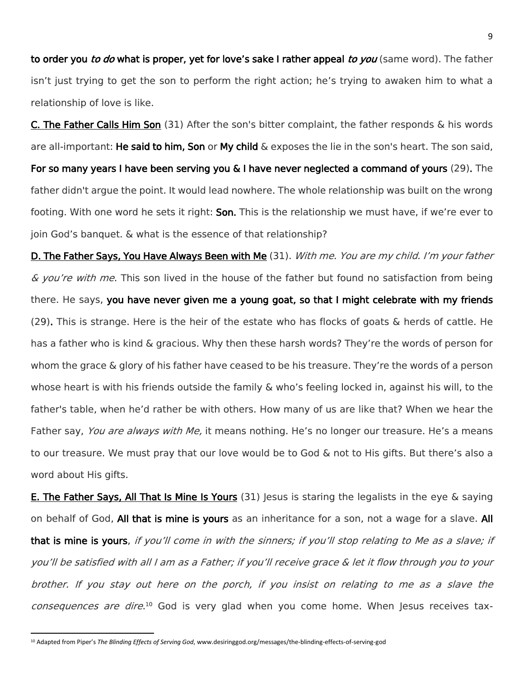to order you to do what is proper, yet for love's sake I rather appeal to you (same word). The father isn't just trying to get the son to perform the right action; he's trying to awaken him to what a relationship of love is like.

C. The Father Calls Him Son (31) After the son's bitter complaint, the father responds & his words are all-important: He said to him, Son or My child  $\&$  exposes the lie in the son's heart. The son said, For so many years I have been serving you & I have never neglected a command of yours (29). The father didn't argue the point. It would lead nowhere. The whole relationship was built on the wrong footing. With one word he sets it right: **Son.** This is the relationship we must have, if we're ever to join God's banquet. & what is the essence of that relationship?

D. The Father Says, You Have Always Been with Me (31). With me. You are my child. I'm your father & you're with me. This son lived in the house of the father but found no satisfaction from being there. He says, you have never given me a young goat, so that I might celebrate with my friends  $(29)$ . This is strange. Here is the heir of the estate who has flocks of goats & herds of cattle. He has a father who is kind & gracious. Why then these harsh words? They're the words of person for whom the grace & glory of his father have ceased to be his treasure. They're the words of a person whose heart is with his friends outside the family & who's feeling locked in, against his will, to the father's table, when he'd rather be with others. How many of us are like that? When we hear the Father say, *You are always with Me*, it means nothing. He's no longer our treasure. He's a means to our treasure. We must pray that our love would be to God & not to His gifts. But there's also a word about His gifts.

**E. The Father Says, All That Is Mine Is Yours** (31) Jesus is staring the legalists in the eye  $\&$  saying on behalf of God, All that is mine is yours as an inheritance for a son, not a wage for a slave. All that is mine is yours, if you'll come in with the sinners; if you'll stop relating to Me as a slave; if you'll be satisfied with all I am as a Father; if you'll receive grace & let it flow through you to your brother. If you stay out here on the porch, if you insist on relating to me as a slave the consequences are dire.<sup>10</sup> God is very glad when you come home. When Jesus receives tax-

l

<sup>10</sup> Adapted from Piper's *The Blinding Effects of Serving God*, www.desiringgod.org/messages/the-blinding-effects-of-serving-god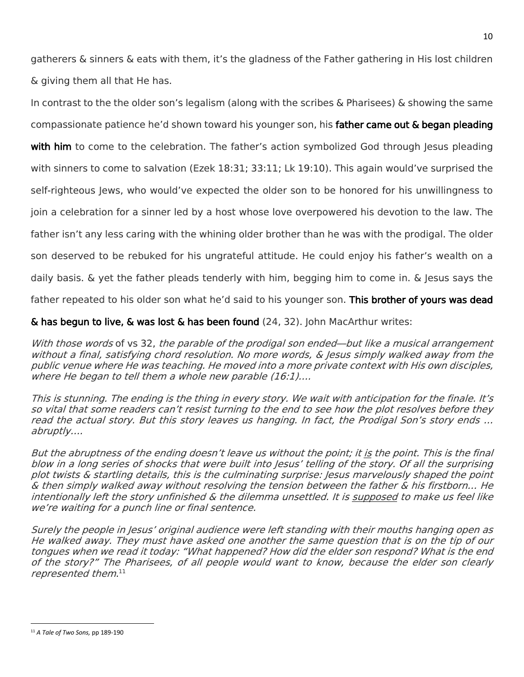gatherers & sinners & eats with them, it's the gladness of the Father gathering in His lost children & giving them all that He has.

In contrast to the the older son's legalism (along with the scribes & Pharisees) & showing the same compassionate patience he'd shown toward his younger son, his father came out & began pleading with him to come to the celebration. The father's action symbolized God through Jesus pleading with sinners to come to salvation (Ezek 18:31; 33:11; Lk 19:10). This again would've surprised the self-righteous Jews, who would've expected the older son to be honored for his unwillingness to join a celebration for a sinner led by a host whose love overpowered his devotion to the law. The father isn't any less caring with the whining older brother than he was with the prodigal. The older son deserved to be rebuked for his ungrateful attitude. He could enjoy his father's wealth on a daily basis. & yet the father pleads tenderly with him, begging him to come in. & Jesus says the

father repeated to his older son what he'd said to his younger son. This brother of yours was dead

 $\&$  has begun to live,  $\&$  was lost  $\&$  has been found (24, 32). John MacArthur writes:

With those words of vs 32, the parable of the prodigal son ended—but like a musical arrangement without a final, satisfying chord resolution. No more words, & Jesus simply walked away from the public venue where He was teaching. He moved into a more private context with His own disciples, where He began to tell them a whole new parable (16:1)....

This is stunning. The ending is the thing in every story. We wait with anticipation for the finale. It's so vital that some readers can't resist turning to the end to see how the plot resolves before they read the actual story. But this story leaves us hanging. In fact, the Prodigal Son's story ends … abruptly….

But the abruptness of the ending doesn't leave us without the point; it is the point. This is the final blow in a long series of shocks that were built into Jesus' telling of the story. Of all the surprising plot twists & startling details, this is the culminating surprise: Jesus marvelously shaped the point & then simply walked away without resolving the tension between the father & his firstborn… He intentionally left the story unfinished & the dilemma unsettled. It is supposed to make us feel like we're waiting for a punch line or final sentence.

Surely the people in Jesus' original audience were left standing with their mouths hanging open as He walked away. They must have asked one another the same question that is on the tip of our tongues when we read it today: "What happened? How did the elder son respond? What is the end of the story?" The Pharisees, of all people would want to know, because the elder son clearly represented them. $^{\rm 11}$ 

 $\overline{\phantom{a}}$ 

<sup>11</sup> *A Tale of Two Sons,* pp 189-190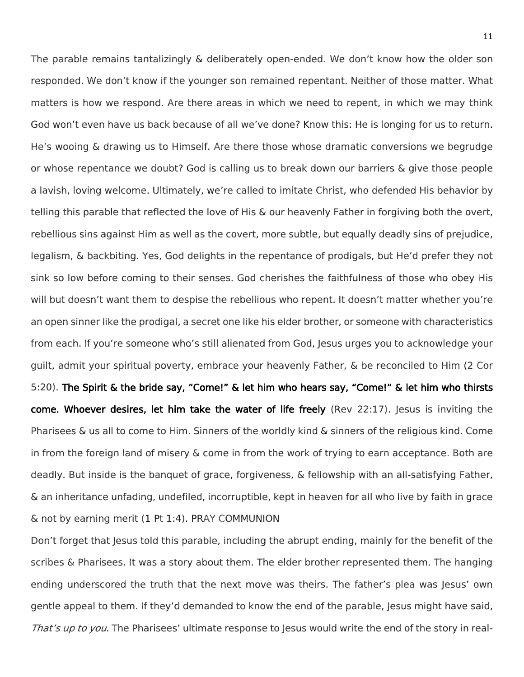The parable remains tantalizingly & deliberately open-ended. We don't know how the older son responded. We don't know if the younger son remained repentant. Neither of those matter. What matters is how we respond. Are there areas in which we need to repent, in which we may think God won't even have us back because of all we've done? Know this: He is longing for us to return. He's wooing & drawing us to Himself. Are there those whose dramatic conversions we begrudge or whose repentance we doubt? God is calling us to break down our barriers & give those people a lavish, loving welcome. Ultimately, we're called to imitate Christ, who defended His behavior by telling this parable that reflected the love of His & our heavenly Father in forgiving both the overt, rebellious sins against Him as well as the covert, more subtle, but equally deadly sins of prejudice, legalism, & backbiting. Yes, God delights in the repentance of prodigals, but He'd prefer they not sink so low before coming to their senses. God cherishes the faithfulness of those who obey His will but doesn't want them to despise the rebellious who repent. It doesn't matter whether you're an open sinner like the prodigal, a secret one like his elder brother, or someone with characteristics from each. If you're someone who's still alienated from God, Jesus urges you to acknowledge your guilt, admit your spiritual poverty, embrace your heavenly Father, & be reconciled to Him (2 Cor 5:20). The Spirit & the bride say, "Come!" & let him who hears say, "Come!" & let him who thirsts come. Whoever desires, let him take the water of life freely (Rev 22:17). Jesus is inviting the Pharisees & us all to come to Him. Sinners of the worldly kind & sinners of the religious kind. Come in from the foreign land of misery & come in from the work of trying to earn acceptance. Both are deadly. But inside is the banquet of grace, forgiveness, & fellowship with an all-satisfying Father, & an inheritance unfading, undefiled, incorruptible, kept in heaven for all who live by faith in grace & not by earning merit (1 Pt 1:4). PRAY COMMUNION

Don't forget that Jesus told this parable, including the abrupt ending, mainly for the benefit of the scribes & Pharisees. It was a story about them. The elder brother represented them. The hanging ending underscored the truth that the next move was theirs. The father's plea was Jesus' own gentle appeal to them. If they'd demanded to know the end of the parable, Jesus might have said, That's up to you. The Pharisees' ultimate response to Jesus would write the end of the story in real-